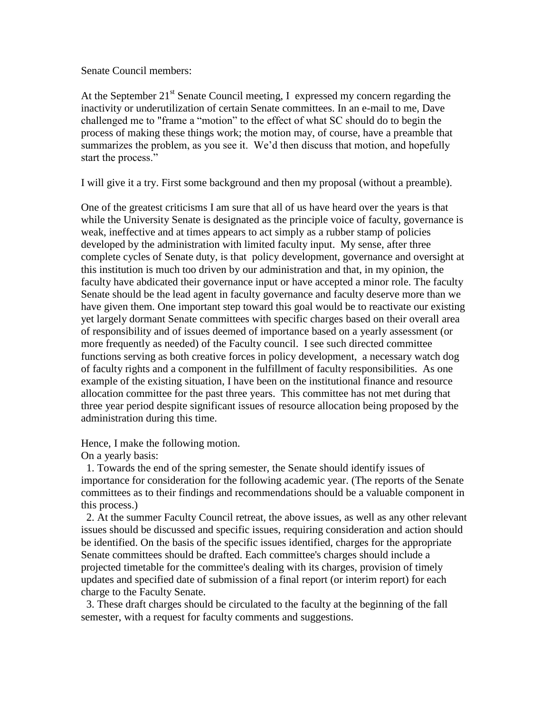Senate Council members:

At the September  $21^{st}$  Senate Council meeting, I expressed my concern regarding the inactivity or underutilization of certain Senate committees. In an e-mail to me, Dave challenged me to "frame a "motion" to the effect of what SC should do to begin the process of making these things work; the motion may, of course, have a preamble that summarizes the problem, as you see it. We'd then discuss that motion, and hopefully start the process."

I will give it a try. First some background and then my proposal (without a preamble).

One of the greatest criticisms I am sure that all of us have heard over the years is that while the University Senate is designated as the principle voice of faculty, governance is weak, ineffective and at times appears to act simply as a rubber stamp of policies developed by the administration with limited faculty input. My sense, after three complete cycles of Senate duty, is that policy development, governance and oversight at this institution is much too driven by our administration and that, in my opinion, the faculty have abdicated their governance input or have accepted a minor role. The faculty Senate should be the lead agent in faculty governance and faculty deserve more than we have given them. One important step toward this goal would be to reactivate our existing yet largely dormant Senate committees with specific charges based on their overall area of responsibility and of issues deemed of importance based on a yearly assessment (or more frequently as needed) of the Faculty council. I see such directed committee functions serving as both creative forces in policy development, a necessary watch dog of faculty rights and a component in the fulfillment of faculty responsibilities. As one example of the existing situation, I have been on the institutional finance and resource allocation committee for the past three years. This committee has not met during that three year period despite significant issues of resource allocation being proposed by the administration during this time.

Hence, I make the following motion.

On a yearly basis:

 1. Towards the end of the spring semester, the Senate should identify issues of importance for consideration for the following academic year. (The reports of the Senate committees as to their findings and recommendations should be a valuable component in this process.)

 2. At the summer Faculty Council retreat, the above issues, as well as any other relevant issues should be discussed and specific issues, requiring consideration and action should be identified. On the basis of the specific issues identified, charges for the appropriate Senate committees should be drafted. Each committee's charges should include a projected timetable for the committee's dealing with its charges, provision of timely updates and specified date of submission of a final report (or interim report) for each charge to the Faculty Senate.

 3. These draft charges should be circulated to the faculty at the beginning of the fall semester, with a request for faculty comments and suggestions.